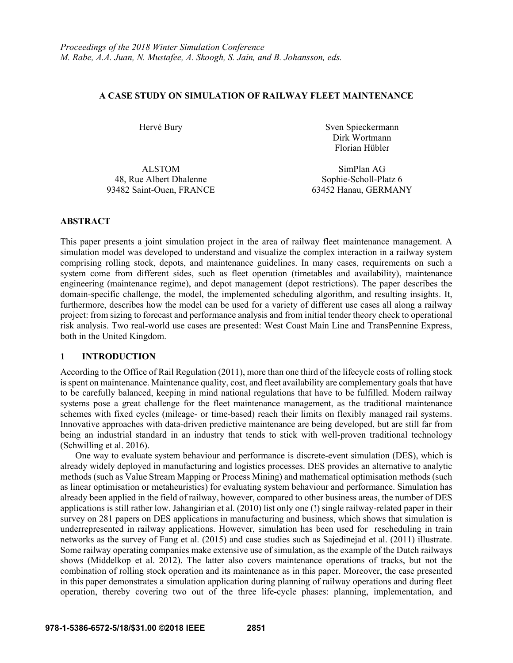### **A CASE STUDY ON SIMULATION OF RAILWAY FLEET MAINTENANCE**

Hervé Bury Sven Spieckermann Dirk Wortmann Florian Hübler

48, Rue Albert Dhalenne Sophie-Scholl-Platz 6 93482 Saint-Ouen, FRANCE 63452 Hanau, GERMANY

ALSTOM SimPlan AG

## **ABSTRACT**

This paper presents a joint simulation project in the area of railway fleet maintenance management. A simulation model was developed to understand and visualize the complex interaction in a railway system comprising rolling stock, depots, and maintenance guidelines. In many cases, requirements on such a system come from different sides, such as fleet operation (timetables and availability), maintenance engineering (maintenance regime), and depot management (depot restrictions). The paper describes the domain-specific challenge, the model, the implemented scheduling algorithm, and resulting insights. It, furthermore, describes how the model can be used for a variety of different use cases all along a railway project: from sizing to forecast and performance analysis and from initial tender theory check to operational risk analysis. Two real-world use cases are presented: West Coast Main Line and TransPennine Express, both in the United Kingdom.

# **1 INTRODUCTION**

According to the Office of Rail Regulation (2011), more than one third of the lifecycle costs of rolling stock is spent on maintenance. Maintenance quality, cost, and fleet availability are complementary goals that have to be carefully balanced, keeping in mind national regulations that have to be fulfilled. Modern railway systems pose a great challenge for the fleet maintenance management, as the traditional maintenance schemes with fixed cycles (mileage- or time-based) reach their limits on flexibly managed rail systems. Innovative approaches with data-driven predictive maintenance are being developed, but are still far from being an industrial standard in an industry that tends to stick with well-proven traditional technology (Schwilling et al. 2016).

 One way to evaluate system behaviour and performance is discrete-event simulation (DES), which is already widely deployed in manufacturing and logistics processes. DES provides an alternative to analytic methods (such as Value Stream Mapping or Process Mining) and mathematical optimisation methods (such as linear optimisation or metaheuristics) for evaluating system behaviour and performance. Simulation has already been applied in the field of railway, however, compared to other business areas, the number of DES applications is still rather low. Jahangirian et al. (2010) list only one (!) single railway-related paper in their survey on 281 papers on DES applications in manufacturing and business, which shows that simulation is underrepresented in railway applications. However, simulation has been used for rescheduling in train networks as the survey of Fang et al. (2015) and case studies such as Sajedinejad et al. (2011) illustrate. Some railway operating companies make extensive use of simulation, as the example of the Dutch railways shows (Middelkop et al. 2012). The latter also covers maintenance operations of tracks, but not the combination of rolling stock operation and its maintenance as in this paper. Moreover, the case presented in this paper demonstrates a simulation application during planning of railway operations and during fleet operation, thereby covering two out of the three life-cycle phases: planning, implementation, and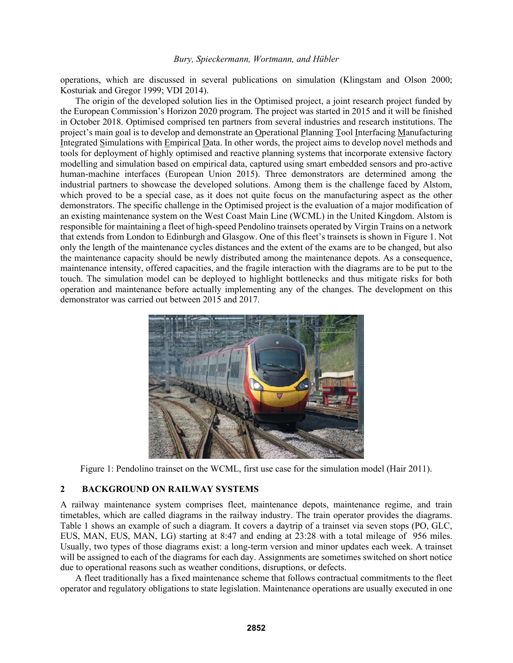operations, which are discussed in several publications on simulation (Klingstam and Olson 2000; Kosturiak and Gregor 1999; VDI 2014).

The origin of the developed solution lies in the Optimised project, a joint research project funded by the European Commission's Horizon 2020 program. The project was started in 2015 and it will be finished in October 2018. Optimised comprised ten partners from several industries and research institutions. The project's main goal is to develop and demonstrate an Operational Planning Tool Interfacing Manufacturing Integrated Simulations with Empirical Data. In other words, the project aims to develop novel methods and tools for deployment of highly optimised and reactive planning systems that incorporate extensive factory modelling and simulation based on empirical data, captured using smart embedded sensors and pro-active human-machine interfaces (European Union 2015). Three demonstrators are determined among the industrial partners to showcase the developed solutions. Among them is the challenge faced by Alstom, which proved to be a special case, as it does not quite focus on the manufacturing aspect as the other demonstrators. The specific challenge in the Optimised project is the evaluation of a major modification of an existing maintenance system on the West Coast Main Line (WCML) in the United Kingdom. Alstom is responsible for maintaining a fleet of high-speed Pendolino trainsets operated by Virgin Trains on a network that extends from London to Edinburgh and Glasgow. One of this fleet's trainsets is shown in Figure 1. Not only the length of the maintenance cycles distances and the extent of the exams are to be changed, but also the maintenance capacity should be newly distributed among the maintenance depots. As a consequence, maintenance intensity, offered capacities, and the fragile interaction with the diagrams are to be put to the touch. The simulation model can be deployed to highlight bottlenecks and thus mitigate risks for both operation and maintenance before actually implementing any of the changes. The development on this demonstrator was carried out between 2015 and 2017.



Figure 1: Pendolino trainset on the WCML, first use case for the simulation model (Hair 2011).

### **2 BACKGROUND ON RAILWAY SYSTEMS**

A railway maintenance system comprises fleet, maintenance depots, maintenance regime, and train timetables, which are called diagrams in the railway industry. The train operator provides the diagrams. Table 1 shows an example of such a diagram. It covers a daytrip of a trainset via seven stops (PO, GLC, EUS, MAN, EUS, MAN, LG) starting at 8:47 and ending at 23:28 with a total mileage of 956 miles. Usually, two types of those diagrams exist: a long-term version and minor updates each week. A trainset will be assigned to each of the diagrams for each day. Assignments are sometimes switched on short notice due to operational reasons such as weather conditions, disruptions, or defects.

 A fleet traditionally has a fixed maintenance scheme that follows contractual commitments to the fleet operator and regulatory obligations to state legislation. Maintenance operations are usually executed in one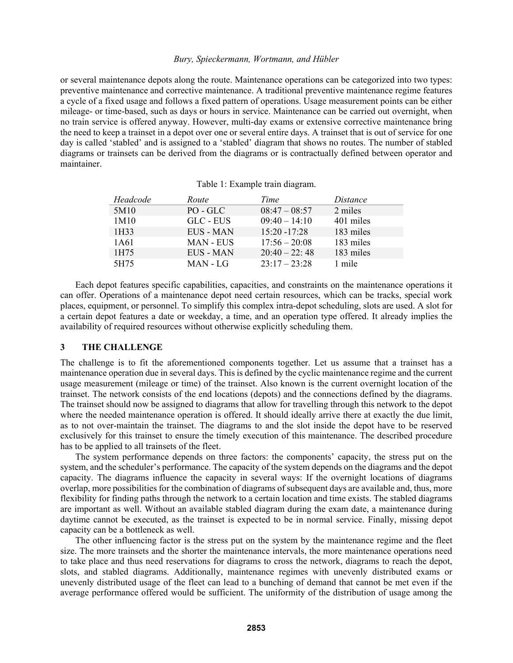or several maintenance depots along the route. Maintenance operations can be categorized into two types: preventive maintenance and corrective maintenance. A traditional preventive maintenance regime features a cycle of a fixed usage and follows a fixed pattern of operations. Usage measurement points can be either mileage- or time-based, such as days or hours in service. Maintenance can be carried out overnight, when no train service is offered anyway. However, multi-day exams or extensive corrective maintenance bring the need to keep a trainset in a depot over one or several entire days. A trainset that is out of service for one day is called 'stabled' and is assigned to a 'stabled' diagram that shows no routes. The number of stabled diagrams or trainsets can be derived from the diagrams or is contractually defined between operator and maintainer.

| Headcode | Route            | Time            | Distance  |
|----------|------------------|-----------------|-----------|
| 5M10     | PO - GLC         | $08:47 - 08:57$ | 2 miles   |
| 1M10     | GLC - EUS        | $09:40 - 14:10$ | 401 miles |
| 1H33     | <b>EUS - MAN</b> | $15:20 - 17:28$ | 183 miles |
| 1A61     | <b>MAN - EUS</b> | $17:56 - 20:08$ | 183 miles |
| 1H75     | EUS - MAN        | $20:40 - 22:48$ | 183 miles |
| 5H75     | MAN - LG         | $23:17 - 23:28$ | 1 mile    |

Table 1: Example train diagram.

Each depot features specific capabilities, capacities, and constraints on the maintenance operations it can offer. Operations of a maintenance depot need certain resources, which can be tracks, special work places, equipment, or personnel. To simplify this complex intra-depot scheduling, slots are used. A slot for a certain depot features a date or weekday, a time, and an operation type offered. It already implies the availability of required resources without otherwise explicitly scheduling them.

### **3 THE CHALLENGE**

The challenge is to fit the aforementioned components together. Let us assume that a trainset has a maintenance operation due in several days. This is defined by the cyclic maintenance regime and the current usage measurement (mileage or time) of the trainset. Also known is the current overnight location of the trainset. The network consists of the end locations (depots) and the connections defined by the diagrams. The trainset should now be assigned to diagrams that allow for travelling through this network to the depot where the needed maintenance operation is offered. It should ideally arrive there at exactly the due limit, as to not over-maintain the trainset. The diagrams to and the slot inside the depot have to be reserved exclusively for this trainset to ensure the timely execution of this maintenance. The described procedure has to be applied to all trainsets of the fleet.

 The system performance depends on three factors: the components' capacity, the stress put on the system, and the scheduler's performance. The capacity of the system depends on the diagrams and the depot capacity. The diagrams influence the capacity in several ways: If the overnight locations of diagrams overlap, more possibilities for the combination of diagrams of subsequent days are available and, thus, more flexibility for finding paths through the network to a certain location and time exists. The stabled diagrams are important as well. Without an available stabled diagram during the exam date, a maintenance during daytime cannot be executed, as the trainset is expected to be in normal service. Finally, missing depot capacity can be a bottleneck as well.

 The other influencing factor is the stress put on the system by the maintenance regime and the fleet size. The more trainsets and the shorter the maintenance intervals, the more maintenance operations need to take place and thus need reservations for diagrams to cross the network, diagrams to reach the depot, slots, and stabled diagrams. Additionally, maintenance regimes with unevenly distributed exams or unevenly distributed usage of the fleet can lead to a bunching of demand that cannot be met even if the average performance offered would be sufficient. The uniformity of the distribution of usage among the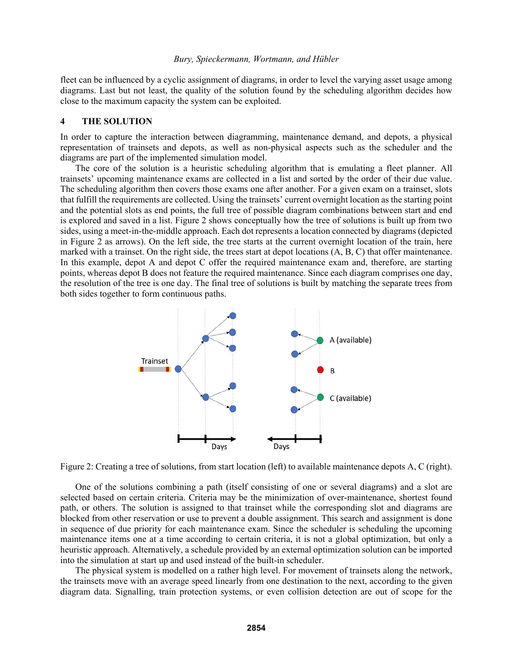fleet can be influenced by a cyclic assignment of diagrams, in order to level the varying asset usage among diagrams. Last but not least, the quality of the solution found by the scheduling algorithm decides how close to the maximum capacity the system can be exploited.

### **4 THE SOLUTION**

In order to capture the interaction between diagramming, maintenance demand, and depots, a physical representation of trainsets and depots, as well as non-physical aspects such as the scheduler and the diagrams are part of the implemented simulation model.

 The core of the solution is a heuristic scheduling algorithm that is emulating a fleet planner. All trainsets' upcoming maintenance exams are collected in a list and sorted by the order of their due value. The scheduling algorithm then covers those exams one after another. For a given exam on a trainset, slots that fulfill the requirements are collected. Using the trainsets' current overnight location as the starting point and the potential slots as end points, the full tree of possible diagram combinations between start and end is explored and saved in a list. Figure 2 shows conceptually how the tree of solutions is built up from two sides, using a meet-in-the-middle approach. Each dot represents a location connected by diagrams (depicted in Figure 2 as arrows). On the left side, the tree starts at the current overnight location of the train, here marked with a trainset. On the right side, the trees start at depot locations (A, B, C) that offer maintenance. In this example, depot A and depot C offer the required maintenance exam and, therefore, are starting points, whereas depot B does not feature the required maintenance. Since each diagram comprises one day, the resolution of the tree is one day. The final tree of solutions is built by matching the separate trees from both sides together to form continuous paths.



Figure 2: Creating a tree of solutions, from start location (left) to available maintenance depots A, C (right).

 One of the solutions combining a path (itself consisting of one or several diagrams) and a slot are selected based on certain criteria. Criteria may be the minimization of over-maintenance, shortest found path, or others. The solution is assigned to that trainset while the corresponding slot and diagrams are blocked from other reservation or use to prevent a double assignment. This search and assignment is done in sequence of due priority for each maintenance exam. Since the scheduler is scheduling the upcoming maintenance items one at a time according to certain criteria, it is not a global optimization, but only a heuristic approach. Alternatively, a schedule provided by an external optimization solution can be imported into the simulation at start up and used instead of the built-in scheduler.

 The physical system is modelled on a rather high level. For movement of trainsets along the network, the trainsets move with an average speed linearly from one destination to the next, according to the given diagram data. Signalling, train protection systems, or even collision detection are out of scope for the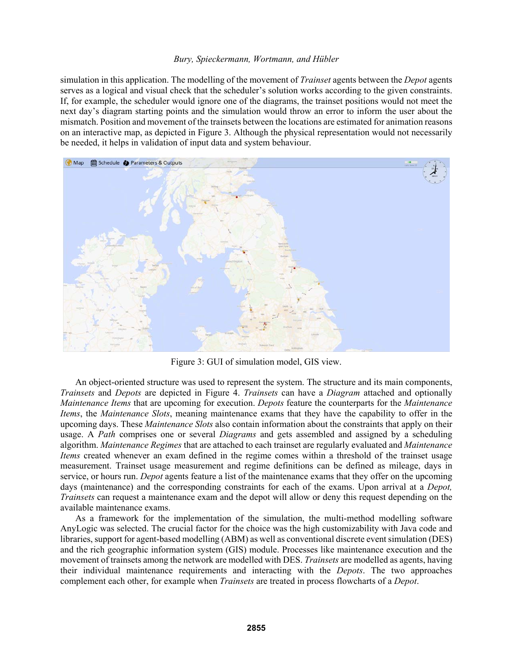simulation in this application. The modelling of the movement of *Trainset* agents between the *Depot* agents serves as a logical and visual check that the scheduler's solution works according to the given constraints. If, for example, the scheduler would ignore one of the diagrams, the trainset positions would not meet the next day's diagram starting points and the simulation would throw an error to inform the user about the mismatch. Position and movement of the trainsets between the locations are estimated for animation reasons on an interactive map, as depicted in Figure 3. Although the physical representation would not necessarily be needed, it helps in validation of input data and system behaviour.



Figure 3: GUI of simulation model, GIS view.

 An object-oriented structure was used to represent the system. The structure and its main components, *Trainsets* and *Depots* are depicted in Figure 4. *Trainsets* can have a *Diagram* attached and optionally *Maintenance Items* that are upcoming for execution. *Depots* feature the counterparts for the *Maintenance Items*, the *Maintenance Slots*, meaning maintenance exams that they have the capability to offer in the upcoming days. These *Maintenance Slots* also contain information about the constraints that apply on their usage. A *Path* comprises one or several *Diagrams* and gets assembled and assigned by a scheduling algorithm. *Maintenance Regimes* that are attached to each trainset are regularly evaluated and *Maintenance Items* created whenever an exam defined in the regime comes within a threshold of the trainset usage measurement. Trainset usage measurement and regime definitions can be defined as mileage, days in service, or hours run. *Depot* agents feature a list of the maintenance exams that they offer on the upcoming days (maintenance) and the corresponding constraints for each of the exams. Upon arrival at a *Depot, Trainsets* can request a maintenance exam and the depot will allow or deny this request depending on the available maintenance exams.

 As a framework for the implementation of the simulation, the multi-method modelling software AnyLogic was selected. The crucial factor for the choice was the high customizability with Java code and libraries, support for agent-based modelling (ABM) as well as conventional discrete event simulation (DES) and the rich geographic information system (GIS) module. Processes like maintenance execution and the movement of trainsets among the network are modelled with DES. *Trainsets* are modelled as agents, having their individual maintenance requirements and interacting with the *Depots*. The two approaches complement each other, for example when *Trainsets* are treated in process flowcharts of a *Depot*.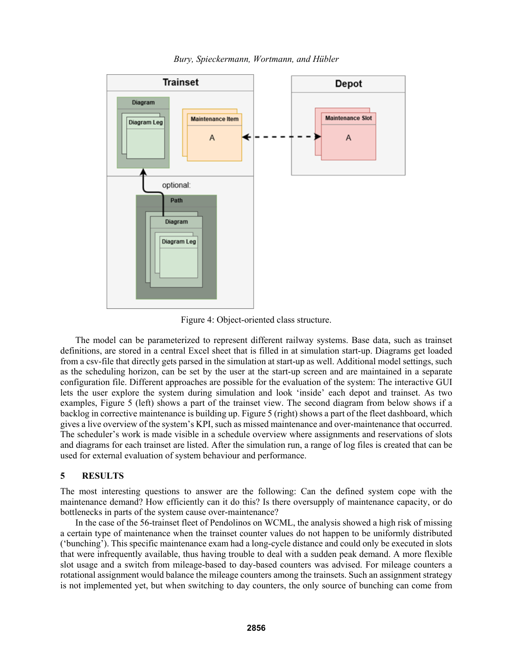

*Bury, Spieckermann, Wortmann, and Hübler* 

Figure 4: Object-oriented class structure.

 The model can be parameterized to represent different railway systems. Base data, such as trainset definitions, are stored in a central Excel sheet that is filled in at simulation start-up. Diagrams get loaded from a csv-file that directly gets parsed in the simulation at start-up as well. Additional model settings, such as the scheduling horizon, can be set by the user at the start-up screen and are maintained in a separate configuration file. Different approaches are possible for the evaluation of the system: The interactive GUI lets the user explore the system during simulation and look 'inside' each depot and trainset. As two examples, Figure 5 (left) shows a part of the trainset view. The second diagram from below shows if a backlog in corrective maintenance is building up. Figure 5 (right) shows a part of the fleet dashboard, which gives a live overview of the system's KPI, such as missed maintenance and over-maintenance that occurred. The scheduler's work is made visible in a schedule overview where assignments and reservations of slots and diagrams for each trainset are listed. After the simulation run, a range of log files is created that can be used for external evaluation of system behaviour and performance.

# **5 RESULTS**

The most interesting questions to answer are the following: Can the defined system cope with the maintenance demand? How efficiently can it do this? Is there oversupply of maintenance capacity, or do bottlenecks in parts of the system cause over-maintenance?

In the case of the 56-trainset fleet of Pendolinos on WCML, the analysis showed a high risk of missing a certain type of maintenance when the trainset counter values do not happen to be uniformly distributed ('bunching'). This specific maintenance exam had a long-cycle distance and could only be executed in slots that were infrequently available, thus having trouble to deal with a sudden peak demand. A more flexible slot usage and a switch from mileage-based to day-based counters was advised. For mileage counters a rotational assignment would balance the mileage counters among the trainsets. Such an assignment strategy is not implemented yet, but when switching to day counters, the only source of bunching can come from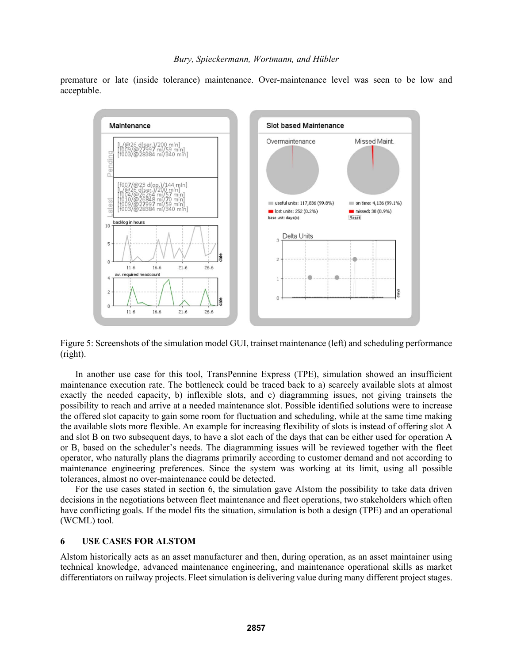premature or late (inside tolerance) maintenance. Over-maintenance level was seen to be low and acceptable.



Figure 5: Screenshots of the simulation model GUI, trainset maintenance (left) and scheduling performance (right).

In another use case for this tool, TransPennine Express (TPE), simulation showed an insufficient maintenance execution rate. The bottleneck could be traced back to a) scarcely available slots at almost exactly the needed capacity, b) inflexible slots, and c) diagramming issues, not giving trainsets the possibility to reach and arrive at a needed maintenance slot. Possible identified solutions were to increase the offered slot capacity to gain some room for fluctuation and scheduling, while at the same time making the available slots more flexible. An example for increasing flexibility of slots is instead of offering slot A and slot B on two subsequent days, to have a slot each of the days that can be either used for operation A or B, based on the scheduler's needs. The diagramming issues will be reviewed together with the fleet operator, who naturally plans the diagrams primarily according to customer demand and not according to maintenance engineering preferences. Since the system was working at its limit, using all possible tolerances, almost no over-maintenance could be detected.

For the use cases stated in section 6, the simulation gave Alstom the possibility to take data driven decisions in the negotiations between fleet maintenance and fleet operations, two stakeholders which often have conflicting goals. If the model fits the situation, simulation is both a design (TPE) and an operational (WCML) tool.

### **6 USE CASES FOR ALSTOM**

Alstom historically acts as an asset manufacturer and then, during operation, as an asset maintainer using technical knowledge, advanced maintenance engineering, and maintenance operational skills as market differentiators on railway projects. Fleet simulation is delivering value during many different project stages.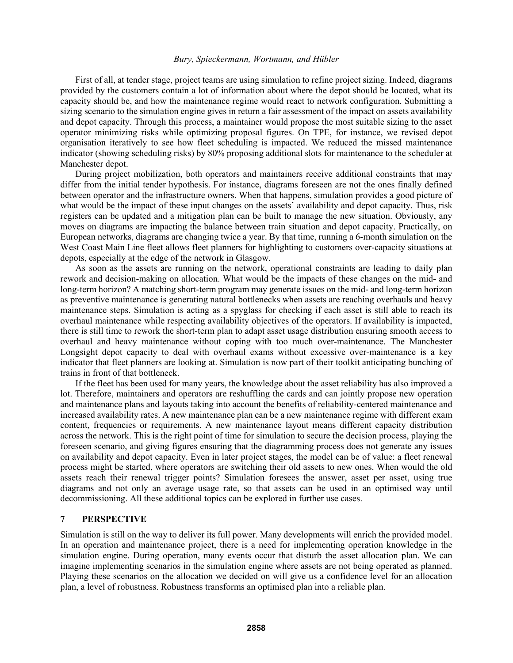First of all, at tender stage, project teams are using simulation to refine project sizing. Indeed, diagrams provided by the customers contain a lot of information about where the depot should be located, what its capacity should be, and how the maintenance regime would react to network configuration. Submitting a sizing scenario to the simulation engine gives in return a fair assessment of the impact on assets availability and depot capacity. Through this process, a maintainer would propose the most suitable sizing to the asset operator minimizing risks while optimizing proposal figures. On TPE, for instance, we revised depot organisation iteratively to see how fleet scheduling is impacted. We reduced the missed maintenance indicator (showing scheduling risks) by 80% proposing additional slots for maintenance to the scheduler at Manchester depot.

 During project mobilization, both operators and maintainers receive additional constraints that may differ from the initial tender hypothesis. For instance, diagrams foreseen are not the ones finally defined between operator and the infrastructure owners. When that happens, simulation provides a good picture of what would be the impact of these input changes on the assets' availability and depot capacity. Thus, risk registers can be updated and a mitigation plan can be built to manage the new situation. Obviously, any moves on diagrams are impacting the balance between train situation and depot capacity. Practically, on European networks, diagrams are changing twice a year. By that time, running a 6-month simulation on the West Coast Main Line fleet allows fleet planners for highlighting to customers over-capacity situations at depots, especially at the edge of the network in Glasgow.

 As soon as the assets are running on the network, operational constraints are leading to daily plan rework and decision-making on allocation. What would be the impacts of these changes on the mid- and long-term horizon? A matching short-term program may generate issues on the mid- and long-term horizon as preventive maintenance is generating natural bottlenecks when assets are reaching overhauls and heavy maintenance steps. Simulation is acting as a spyglass for checking if each asset is still able to reach its overhaul maintenance while respecting availability objectives of the operators. If availability is impacted, there is still time to rework the short-term plan to adapt asset usage distribution ensuring smooth access to overhaul and heavy maintenance without coping with too much over-maintenance. The Manchester Longsight depot capacity to deal with overhaul exams without excessive over-maintenance is a key indicator that fleet planners are looking at. Simulation is now part of their toolkit anticipating bunching of trains in front of that bottleneck.

 If the fleet has been used for many years, the knowledge about the asset reliability has also improved a lot. Therefore, maintainers and operators are reshuffling the cards and can jointly propose new operation and maintenance plans and layouts taking into account the benefits of reliability-centered maintenance and increased availability rates. A new maintenance plan can be a new maintenance regime with different exam content, frequencies or requirements. A new maintenance layout means different capacity distribution across the network. This is the right point of time for simulation to secure the decision process, playing the foreseen scenario, and giving figures ensuring that the diagramming process does not generate any issues on availability and depot capacity. Even in later project stages, the model can be of value: a fleet renewal process might be started, where operators are switching their old assets to new ones. When would the old assets reach their renewal trigger points? Simulation foresees the answer, asset per asset, using true diagrams and not only an average usage rate, so that assets can be used in an optimised way until decommissioning. All these additional topics can be explored in further use cases.

### **7 PERSPECTIVE**

Simulation is still on the way to deliver its full power. Many developments will enrich the provided model. In an operation and maintenance project, there is a need for implementing operation knowledge in the simulation engine. During operation, many events occur that disturb the asset allocation plan. We can imagine implementing scenarios in the simulation engine where assets are not being operated as planned. Playing these scenarios on the allocation we decided on will give us a confidence level for an allocation plan, a level of robustness. Robustness transforms an optimised plan into a reliable plan.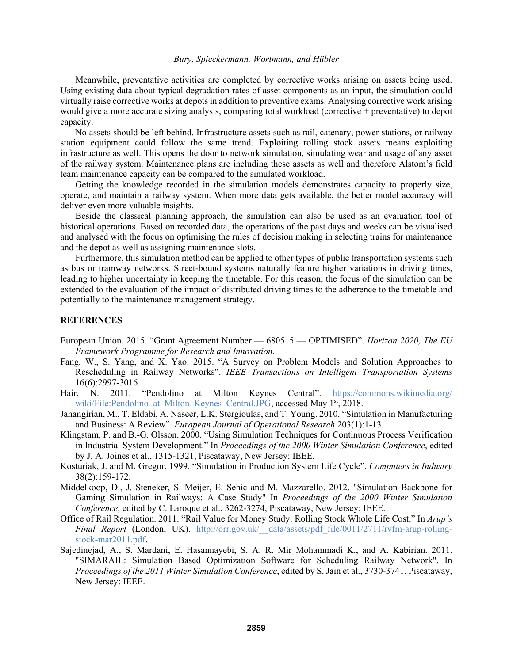Meanwhile, preventative activities are completed by corrective works arising on assets being used. Using existing data about typical degradation rates of asset components as an input, the simulation could virtually raise corrective works at depots in addition to preventive exams. Analysing corrective work arising would give a more accurate sizing analysis, comparing total workload (corrective + preventative) to depot capacity.

 No assets should be left behind. Infrastructure assets such as rail, catenary, power stations, or railway station equipment could follow the same trend. Exploiting rolling stock assets means exploiting infrastructure as well. This opens the door to network simulation, simulating wear and usage of any asset of the railway system. Maintenance plans are including these assets as well and therefore Alstom's field team maintenance capacity can be compared to the simulated workload.

 Getting the knowledge recorded in the simulation models demonstrates capacity to properly size, operate, and maintain a railway system. When more data gets available, the better model accuracy will deliver even more valuable insights.

 Beside the classical planning approach, the simulation can also be used as an evaluation tool of historical operations. Based on recorded data, the operations of the past days and weeks can be visualised and analysed with the focus on optimising the rules of decision making in selecting trains for maintenance and the depot as well as assigning maintenance slots.

 Furthermore, this simulation method can be applied to other types of public transportation systems such as bus or tramway networks. Street-bound systems naturally feature higher variations in driving times, leading to higher uncertainty in keeping the timetable. For this reason, the focus of the simulation can be extended to the evaluation of the impact of distributed driving times to the adherence to the timetable and potentially to the maintenance management strategy.

#### **REFERENCES**

- European Union. 2015. "Grant Agreement Number 680515 OPTIMISED". *Horizon 2020, The EU Framework Programme for Research and Innovation*.
- Fang, W., S. Yang, and X. Yao. 2015. "A Survey on Problem Models and Solution Approaches to Rescheduling in Railway Networks". *IEEE Transactions on Intelligent Transportation Systems* 16(6):2997-3016.
- Hair, N. 2011. "Pendolino at Milton Keynes Central". https://commons.wikimedia.org/ wiki/File:Pendolino at Milton Keynes Central.JPG, accessed May 1<sup>st</sup>, 2018.
- Jahangirian, M., T. Eldabi, A. Naseer, L.K. Stergioulas, and T. Young. 2010. "Simulation in Manufacturing and Business: A Review". *European Journal of Operational Research* 203(1):1-13.
- Klingstam, P. and B.-G. Olsson. 2000. "Using Simulation Techniques for Continuous Process Verification in Industrial System Development." In *Proceedings of the 2000 Winter Simulation Conference*, edited by J. A. Joines et al., 1315-1321, Piscataway, New Jersey: IEEE.
- Kosturiak, J. and M. Gregor. 1999. "Simulation in Production System Life Cycle". *Computers in Industry* 38(2):159-172.
- Middelkoop, D., J. Steneker, S. Meijer, E. Sehic and M. Mazzarello. 2012. "Simulation Backbone for Gaming Simulation in Railways: A Case Study" In *Proceedings of the 2000 Winter Simulation Conference*, edited by C. Laroque et al., 3262-3274, Piscataway, New Jersey: IEEE.
- Office of Rail Regulation. 2011. "Rail Value for Money Study: Rolling Stock Whole Life Cost," In *Arup's Final Report* (London, UK). http://orr.gov.uk/\_\_data/assets/pdf\_file/0011/2711/rvfm-arup-rollingstock-mar2011.pdf.
- Sajedinejad, A., S. Mardani, E. Hasannayebi, S. A. R. Mir Mohammadi K., and A. Kabirian. 2011. "SIMARAIL: Simulation Based Optimization Software for Scheduling Railway Network". In *Proceedings of the 2011 Winter Simulation Conference*, edited by S. Jain et al., 3730-3741, Piscataway, New Jersey: IEEE.